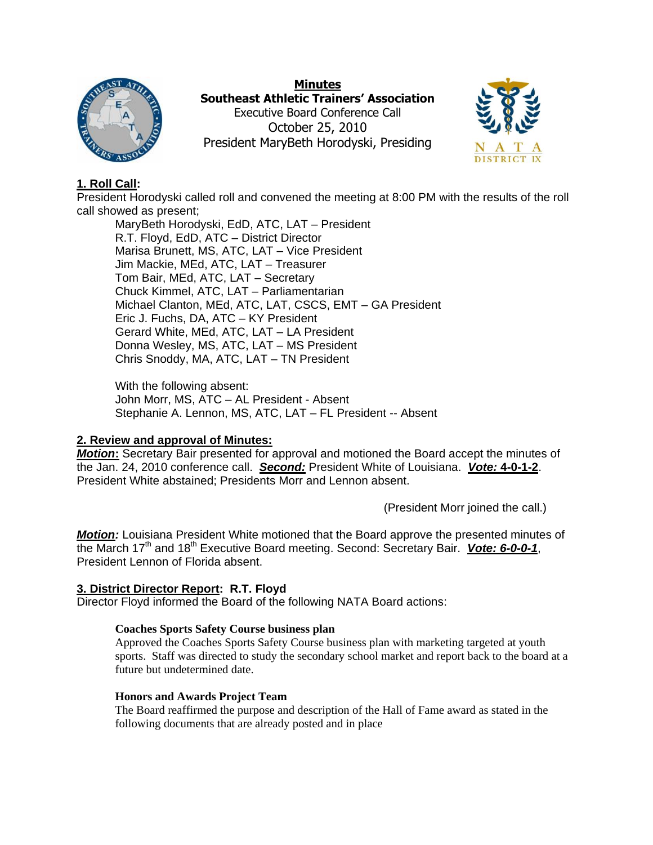

**Minutes Southeast Athletic Trainers' Association** Executive Board Conference Call October 25, 2010 President MaryBeth Horodyski, Presiding



# **1. Roll Call:**

President Horodyski called roll and convened the meeting at 8:00 PM with the results of the roll call showed as present;

MaryBeth Horodyski, EdD, ATC, LAT – President R.T. Floyd, EdD, ATC – District Director Marisa Brunett, MS, ATC, LAT – Vice President Jim Mackie, MEd, ATC, LAT – Treasurer Tom Bair, MEd, ATC, LAT – Secretary Chuck Kimmel, ATC, LAT – Parliamentarian Michael Clanton, MEd, ATC, LAT, CSCS, EMT – GA President Eric J. Fuchs, DA, ATC – KY President Gerard White, MEd, ATC, LAT – LA President Donna Wesley, MS, ATC, LAT – MS President Chris Snoddy, MA, ATC, LAT – TN President

With the following absent: John Morr, MS, ATC – AL President - Absent Stephanie A. Lennon, MS, ATC, LAT – FL President -- Absent

# **2. Review and approval of Minutes:**

*Motion***:** Secretary Bair presented for approval and motioned the Board accept the minutes of the Jan. 24, 2010 conference call. *Second:* President White of Louisiana. *Vote:* **4-0-1-2**. President White abstained; Presidents Morr and Lennon absent.

(President Morr joined the call.)

*Motion:* Louisiana President White motioned that the Board approve the presented minutes of the March 17<sup>th</sup> and 18<sup>th</sup> Executive Board meeting. Second: Secretary Bair. *Vote: 6-0-0-1*, President Lennon of Florida absent.

## **3. District Director Report: R.T. Floyd**

Director Floyd informed the Board of the following NATA Board actions:

## **Coaches Sports Safety Course business plan**

Approved the Coaches Sports Safety Course business plan with marketing targeted at youth sports. Staff was directed to study the secondary school market and report back to the board at a future but undetermined date.

## **Honors and Awards Project Team**

The Board reaffirmed the purpose and description of the Hall of Fame award as stated in the following documents that are already posted and in place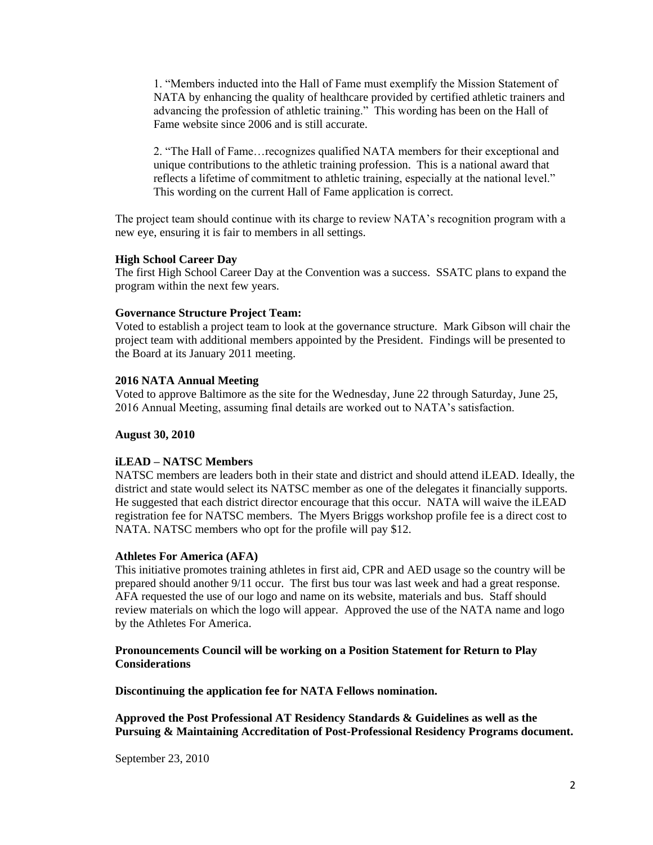1. "Members inducted into the Hall of Fame must exemplify the Mission Statement of NATA by enhancing the quality of healthcare provided by certified athletic trainers and advancing the profession of athletic training." This wording has been on the Hall of Fame website since 2006 and is still accurate.

2. "The Hall of Fame…recognizes qualified NATA members for their exceptional and unique contributions to the athletic training profession. This is a national award that reflects a lifetime of commitment to athletic training, especially at the national level." This wording on the current Hall of Fame application is correct.

The project team should continue with its charge to review NATA's recognition program with a new eye, ensuring it is fair to members in all settings.

#### **High School Career Day**

The first High School Career Day at the Convention was a success. SSATC plans to expand the program within the next few years.

#### **Governance Structure Project Team:**

Voted to establish a project team to look at the governance structure. Mark Gibson will chair the project team with additional members appointed by the President. Findings will be presented to the Board at its January 2011 meeting.

#### **2016 NATA Annual Meeting**

Voted to approve Baltimore as the site for the Wednesday, June 22 through Saturday, June 25, 2016 Annual Meeting, assuming final details are worked out to NATA's satisfaction.

#### **August 30, 2010**

#### **iLEAD – NATSC Members**

NATSC members are leaders both in their state and district and should attend iLEAD. Ideally, the district and state would select its NATSC member as one of the delegates it financially supports. He suggested that each district director encourage that this occur. NATA will waive the iLEAD registration fee for NATSC members. The Myers Briggs workshop profile fee is a direct cost to NATA. NATSC members who opt for the profile will pay \$12.

#### **Athletes For America (AFA)**

This initiative promotes training athletes in first aid, CPR and AED usage so the country will be prepared should another 9/11 occur. The first bus tour was last week and had a great response. AFA requested the use of our logo and name on its website, materials and bus. Staff should review materials on which the logo will appear. Approved the use of the NATA name and logo by the Athletes For America.

#### **Pronouncements Council will be working on a Position Statement for Return to Play Considerations**

**Discontinuing the application fee for NATA Fellows nomination.**

**Approved the Post Professional AT Residency Standards & Guidelines as well as the Pursuing & Maintaining Accreditation of Post-Professional Residency Programs document.**

September 23, 2010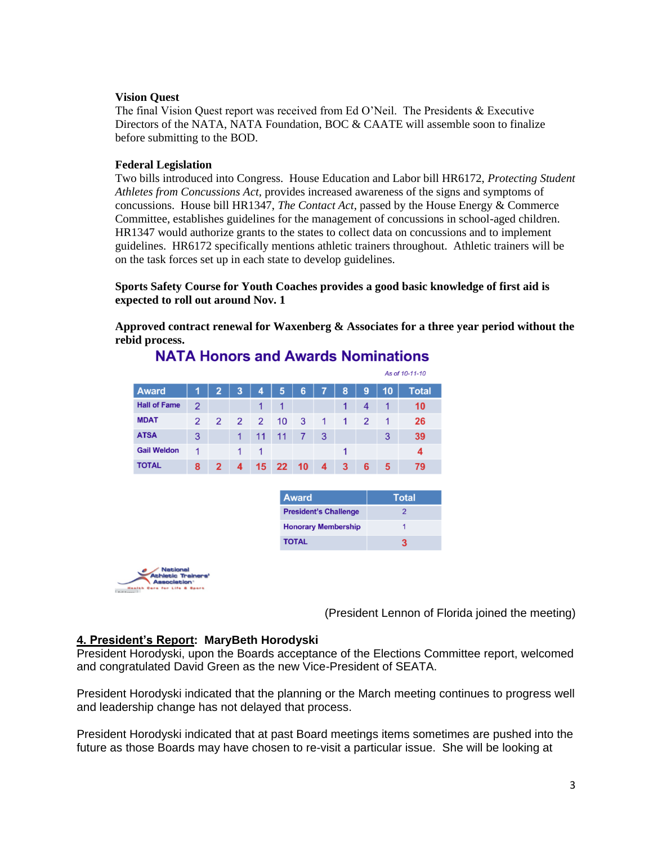### **Vision Quest**

The final Vision Quest report was received from Ed O'Neil. The Presidents & Executive Directors of the NATA, NATA Foundation, BOC & CAATE will assemble soon to finalize before submitting to the BOD.

### **Federal Legislation**

Two bills introduced into Congress. House Education and Labor bill HR6172, *Protecting Student Athletes from Concussions Act,* provides increased awareness of the signs and symptoms of concussions. House bill HR1347, *The Contact Act*, passed by the House Energy & Commerce Committee, establishes guidelines for the management of concussions in school-aged children. HR1347 would authorize grants to the states to collect data on concussions and to implement guidelines. HR6172 specifically mentions athletic trainers throughout. Athletic trainers will be on the task forces set up in each state to develop guidelines.

**Sports Safety Course for Youth Coaches provides a good basic knowledge of first aid is expected to roll out around Nov. 1**

**Approved contract renewal for Waxenberg & Associates for a three year period without the rebid process.**

|                     |                |                |             |   |                      |    |   |   |   |    | As of 10-11-10 |
|---------------------|----------------|----------------|-------------|---|----------------------|----|---|---|---|----|----------------|
| <b>Award</b>        | 1              | 2              | 3           | 4 | 5                    | 6  | 7 | 8 | 9 | 10 | <b>Total</b>   |
| <b>Hall of Fame</b> | $\overline{2}$ |                |             |   | $\blacktriangleleft$ |    |   | 1 | 4 |    | 10             |
| <b>MDAT</b>         | 2              | 2              | $2^{\circ}$ | 2 | 10                   | 3  | 1 | 1 | 2 |    | 26             |
| <b>ATSA</b>         | 3              |                |             |   | 11                   |    | 3 |   |   | 3  | 39             |
| <b>Gail Weldon</b>  |                |                | 1           | 1 |                      |    |   | 1 |   |    | 4              |
| <b>TOTAL</b>        | 8              | $\mathfrak{p}$ | 4           |   | 15 22                | 10 | 4 | 3 | 6 | 5  | 79             |

**NATA Honors and Awards Nominations** 

| <b>Award</b>                 | <b>Total</b> |
|------------------------------|--------------|
| <b>President's Challenge</b> | 2            |
| <b>Honorary Membership</b>   |              |
| <b>TOTAL</b>                 |              |



(President Lennon of Florida joined the meeting)

## **4. President's Report: MaryBeth Horodyski**

President Horodyski, upon the Boards acceptance of the Elections Committee report, welcomed and congratulated David Green as the new Vice-President of SEATA.

President Horodyski indicated that the planning or the March meeting continues to progress well and leadership change has not delayed that process.

President Horodyski indicated that at past Board meetings items sometimes are pushed into the future as those Boards may have chosen to re-visit a particular issue. She will be looking at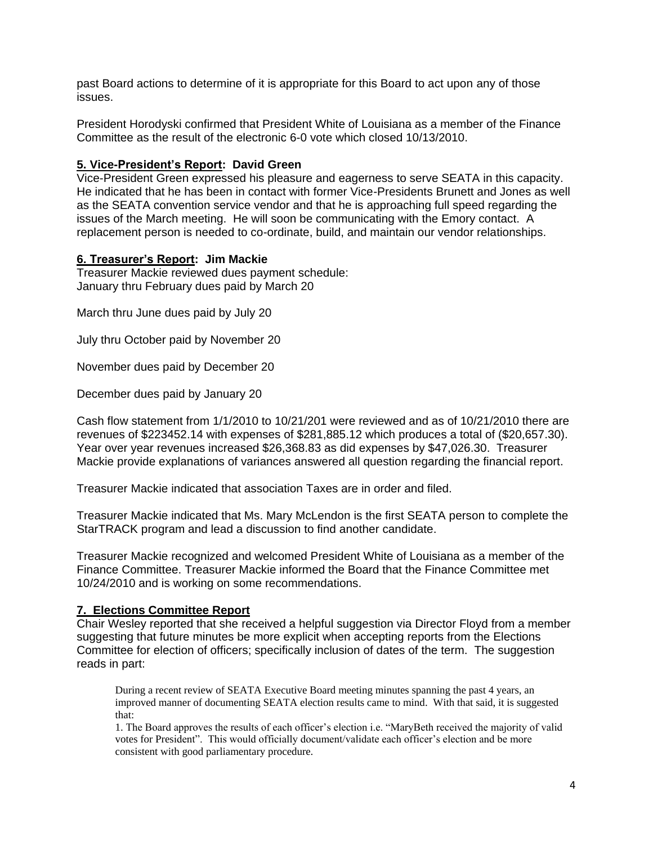past Board actions to determine of it is appropriate for this Board to act upon any of those issues.

President Horodyski confirmed that President White of Louisiana as a member of the Finance Committee as the result of the electronic 6-0 vote which closed 10/13/2010.

### **5. Vice-President's Report: David Green**

Vice-President Green expressed his pleasure and eagerness to serve SEATA in this capacity. He indicated that he has been in contact with former Vice-Presidents Brunett and Jones as well as the SEATA convention service vendor and that he is approaching full speed regarding the issues of the March meeting. He will soon be communicating with the Emory contact. A replacement person is needed to co-ordinate, build, and maintain our vendor relationships.

### **6. Treasurer's Report: Jim Mackie**

Treasurer Mackie reviewed dues payment schedule: January thru February dues paid by March 20

March thru June dues paid by July 20

July thru October paid by November 20

November dues paid by December 20

December dues paid by January 20

Cash flow statement from 1/1/2010 to 10/21/201 were reviewed and as of 10/21/2010 there are revenues of \$223452.14 with expenses of \$281,885.12 which produces a total of (\$20,657.30). Year over year revenues increased \$26,368.83 as did expenses by \$47,026.30. Treasurer Mackie provide explanations of variances answered all question regarding the financial report.

Treasurer Mackie indicated that association Taxes are in order and filed.

Treasurer Mackie indicated that Ms. Mary McLendon is the first SEATA person to complete the StarTRACK program and lead a discussion to find another candidate.

Treasurer Mackie recognized and welcomed President White of Louisiana as a member of the Finance Committee. Treasurer Mackie informed the Board that the Finance Committee met 10/24/2010 and is working on some recommendations.

### **7. Elections Committee Report**

Chair Wesley reported that she received a helpful suggestion via Director Floyd from a member suggesting that future minutes be more explicit when accepting reports from the Elections Committee for election of officers; specifically inclusion of dates of the term. The suggestion reads in part:

During a recent review of SEATA Executive Board meeting minutes spanning the past 4 years, an improved manner of documenting SEATA election results came to mind. With that said, it is suggested that:

1. The Board approves the results of each officer's election i.e. "MaryBeth received the majority of valid votes for President". This would officially document/validate each officer's election and be more consistent with good parliamentary procedure.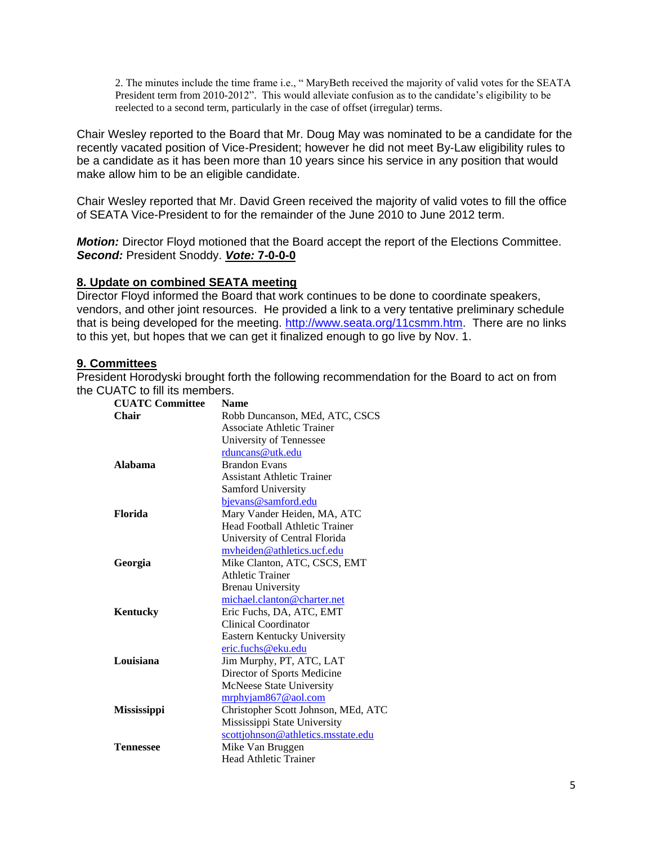2. The minutes include the time frame i.e., " MaryBeth received the majority of valid votes for the SEATA President term from 2010-2012". This would alleviate confusion as to the candidate's eligibility to be reelected to a second term, particularly in the case of offset (irregular) terms.

Chair Wesley reported to the Board that Mr. Doug May was nominated to be a candidate for the recently vacated position of Vice-President; however he did not meet By-Law eligibility rules to be a candidate as it has been more than 10 years since his service in any position that would make allow him to be an eligible candidate.

Chair Wesley reported that Mr. David Green received the majority of valid votes to fill the office of SEATA Vice-President to for the remainder of the June 2010 to June 2012 term.

*Motion:* Director Floyd motioned that the Board accept the report of the Elections Committee. *Second:* President Snoddy. *Vote:* **7-0-0-0**

### **8. Update on combined SEATA meeting**

Director Floyd informed the Board that work continues to be done to coordinate speakers, vendors, and other joint resources. He provided a link to a very tentative preliminary schedule that is being developed for the meeting. [http://www.seata.org/11csmm.htm.](http://www.seata.org/11csmm.htm) There are no links to this yet, but hopes that we can get it finalized enough to go live by Nov. 1.

### **9. Committees**

President Horodyski brought forth the following recommendation for the Board to act on from the CUATC to fill its members.

| <b>CUATC Committee</b> | <b>Name</b>                         |
|------------------------|-------------------------------------|
| Chair                  | Robb Duncanson, MEd, ATC, CSCS      |
|                        | <b>Associate Athletic Trainer</b>   |
|                        | University of Tennessee             |
|                        | rduncans@utk.edu                    |
| Alahama                | <b>Brandon Evans</b>                |
|                        | <b>Assistant Athletic Trainer</b>   |
|                        | Samford University                  |
|                        | bjevans@samford.edu                 |
| <b>Florida</b>         | Mary Vander Heiden, MA, ATC         |
|                        | Head Football Athletic Trainer      |
|                        | University of Central Florida       |
|                        | myheiden@athletics.ucf.edu          |
| Georgia                | Mike Clanton, ATC, CSCS, EMT        |
|                        | <b>Athletic Trainer</b>             |
|                        | <b>Brenau University</b>            |
|                        | michael.clanton@charter.net         |
| Kentucky               | Eric Fuchs, DA, ATC, EMT            |
|                        | Clinical Coordinator                |
|                        | Eastern Kentucky University         |
|                        | eric.fuchs@eku.edu                  |
| Louisiana              | Jim Murphy, PT, ATC, LAT            |
|                        | Director of Sports Medicine         |
|                        | McNeese State University            |
|                        | $m rphy$ am $867$ @ aol.com         |
| <b>Mississippi</b>     | Christopher Scott Johnson, MEd, ATC |
|                        | Mississippi State University        |
|                        | scottjohnson@athletics.msstate.edu  |
| <b>Tennessee</b>       | Mike Van Bruggen                    |
|                        | <b>Head Athletic Trainer</b>        |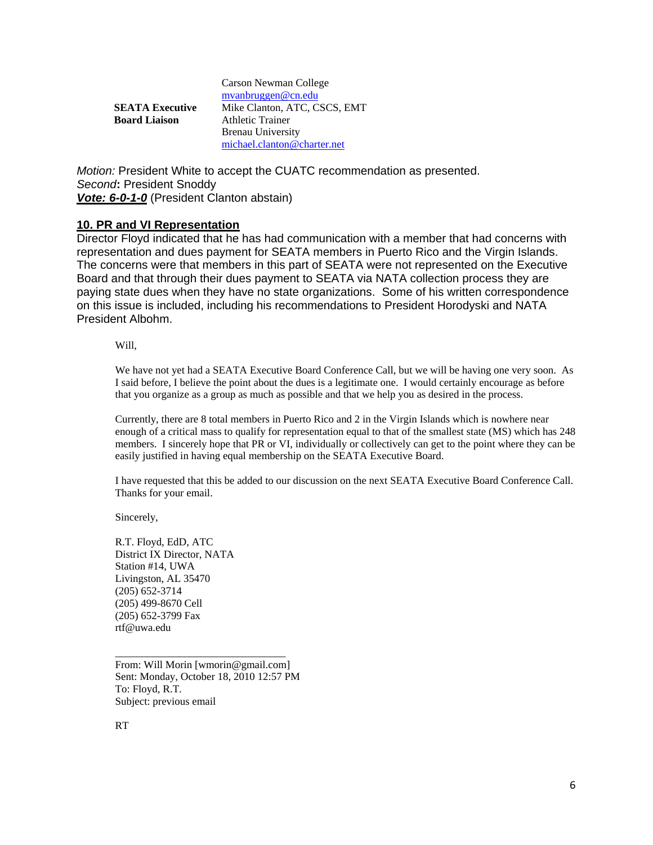|                        | Carson Newman College        |
|------------------------|------------------------------|
|                        | $m$ vanbruggen@cn.edu        |
| <b>SEATA Executive</b> | Mike Clanton, ATC, CSCS, EMT |
| <b>Board Liaison</b>   | <b>Athletic Trainer</b>      |
|                        | <b>Brenau University</b>     |
|                        | michael.clanton@charter.net  |

*Motion:* President White to accept the CUATC recommendation as presented. *Second***:** President Snoddy *Vote: 6-0-1-0* (President Clanton abstain)

### **10. PR and VI Representation**

Director Floyd indicated that he has had communication with a member that had concerns with representation and dues payment for SEATA members in Puerto Rico and the Virgin Islands. The concerns were that members in this part of SEATA were not represented on the Executive Board and that through their dues payment to SEATA via NATA collection process they are paying state dues when they have no state organizations. Some of his written correspondence on this issue is included, including his recommendations to President Horodyski and NATA President Albohm.

Will,

We have not yet had a SEATA Executive Board Conference Call, but we will be having one very soon. As I said before, I believe the point about the dues is a legitimate one. I would certainly encourage as before that you organize as a group as much as possible and that we help you as desired in the process.

Currently, there are 8 total members in Puerto Rico and 2 in the Virgin Islands which is nowhere near enough of a critical mass to qualify for representation equal to that of the smallest state (MS) which has 248 members. I sincerely hope that PR or VI, individually or collectively can get to the point where they can be easily justified in having equal membership on the SEATA Executive Board.

I have requested that this be added to our discussion on the next SEATA Executive Board Conference Call. Thanks for your email.

Sincerely,

R.T. Floyd, EdD, ATC District IX Director, NATA Station #14, UWA Livingston, AL 35470 (205) 652-3714 (205) 499-8670 Cell (205) 652-3799 Fax rtf@uwa.edu

From: Will Morin [wmorin@gmail.com] Sent: Monday, October 18, 2010 12:57 PM To: Floyd, R.T. Subject: previous email

\_\_\_\_\_\_\_\_\_\_\_\_\_\_\_\_\_\_\_\_\_\_\_\_\_\_\_\_\_\_\_\_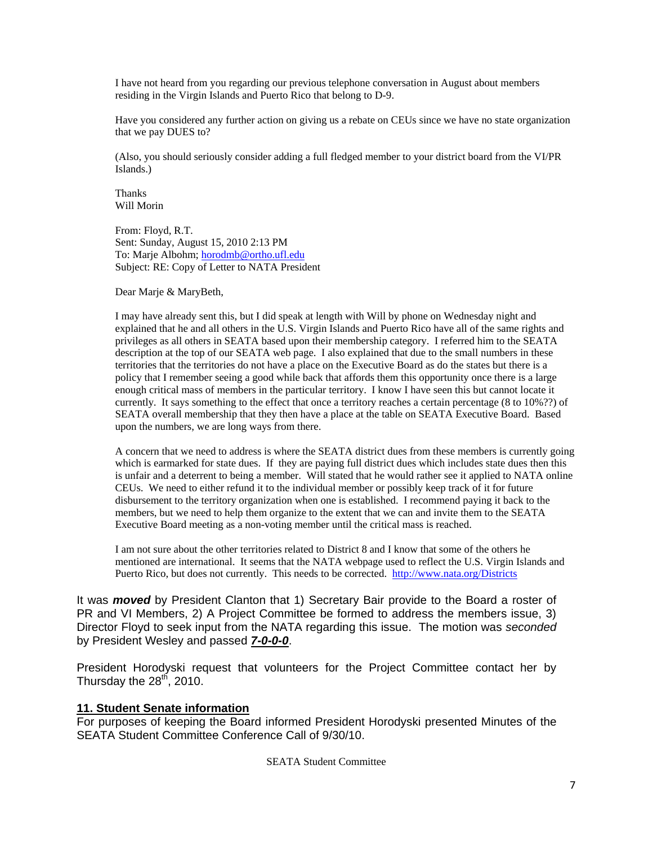I have not heard from you regarding our previous telephone conversation in August about members residing in the Virgin Islands and Puerto Rico that belong to D-9.

Have you considered any further action on giving us a rebate on CEUs since we have no state organization that we pay DUES to?

(Also, you should seriously consider adding a full fledged member to your district board from the VI/PR Islands.)

Thanks Will Morin

From: Floyd, R.T. Sent: Sunday, August 15, 2010 2:13 PM To: Marje Albohm; [horodmb@ortho.ufl.edu](mailto:horodmb@ortho.ufl.edu) Subject: RE: Copy of Letter to NATA President

Dear Marje & MaryBeth,

I may have already sent this, but I did speak at length with Will by phone on Wednesday night and explained that he and all others in the U.S. Virgin Islands and Puerto Rico have all of the same rights and privileges as all others in SEATA based upon their membership category. I referred him to the SEATA description at the top of our SEATA web page. I also explained that due to the small numbers in these territories that the territories do not have a place on the Executive Board as do the states but there is a policy that I remember seeing a good while back that affords them this opportunity once there is a large enough critical mass of members in the particular territory. I know I have seen this but cannot locate it currently. It says something to the effect that once a territory reaches a certain percentage (8 to 10%??) of SEATA overall membership that they then have a place at the table on SEATA Executive Board. Based upon the numbers, we are long ways from there.

A concern that we need to address is where the SEATA district dues from these members is currently going which is earmarked for state dues. If they are paying full district dues which includes state dues then this is unfair and a deterrent to being a member. Will stated that he would rather see it applied to NATA online CEUs. We need to either refund it to the individual member or possibly keep track of it for future disbursement to the territory organization when one is established. I recommend paying it back to the members, but we need to help them organize to the extent that we can and invite them to the SEATA Executive Board meeting as a non-voting member until the critical mass is reached.

I am not sure about the other territories related to District 8 and I know that some of the others he mentioned are international. It seems that the NATA webpage used to reflect the U.S. Virgin Islands and Puerto Rico, but does not currently. This needs to be corrected. <http://www.nata.org/Districts>

It was *moved* by President Clanton that 1) Secretary Bair provide to the Board a roster of PR and VI Members, 2) A Project Committee be formed to address the members issue, 3) Director Floyd to seek input from the NATA regarding this issue. The motion was *seconded* by President Wesley and passed *7-0-0-0*.

President Horodyski request that volunteers for the Project Committee contact her by Thursday the  $28<sup>th</sup>$ , 2010.

### **11. Student Senate information**

For purposes of keeping the Board informed President Horodyski presented Minutes of the SEATA Student Committee Conference Call of 9/30/10.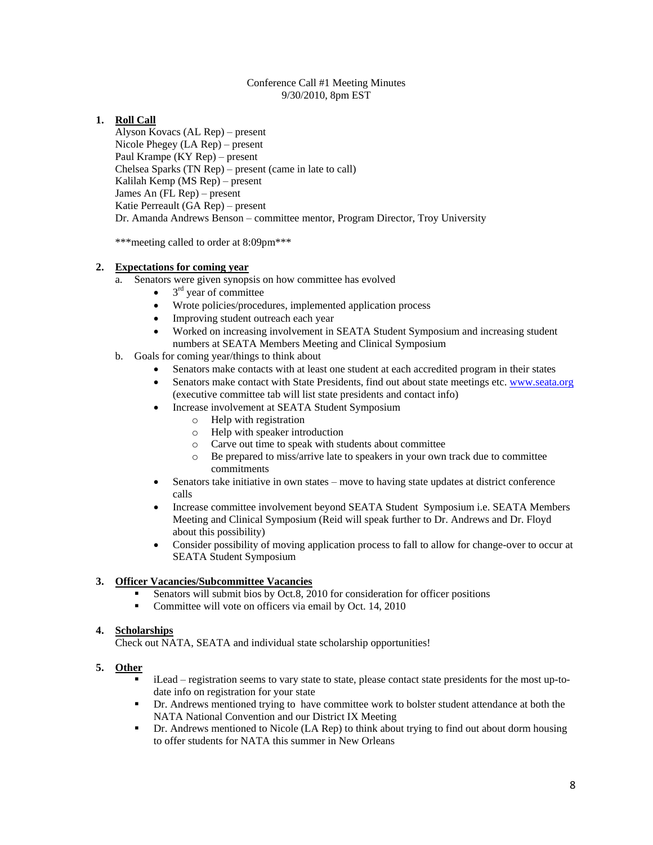#### Conference Call #1 Meeting Minutes 9/30/2010, 8pm EST

### **1. Roll Call**

Alyson Kovacs (AL Rep) – present Nicole Phegey (LA Rep) – present Paul Krampe (KY Rep) – present Chelsea Sparks (TN Rep) – present (came in late to call) Kalilah Kemp (MS Rep) – present James An (FL Rep) – present Katie Perreault (GA Rep) – present Dr. Amanda Andrews Benson – committee mentor, Program Director, Troy University

\*\*\*meeting called to order at 8:09pm\*\*\*

#### **2. Expectations for coming year**

- a. Senators were given synopsis on how committee has evolved
	- $\bullet$  $3<sup>rd</sup>$  year of committee
		- Wrote policies/procedures, implemented application process
		- Improving student outreach each year
		- Worked on increasing involvement in SEATA Student Symposium and increasing student numbers at SEATA Members Meeting and Clinical Symposium
- b. Goals for coming year/things to think about
	- Senators make contacts with at least one student at each accredited program in their states
	- Senators make contact with State Presidents, find out about state meetings etc. [www.seata.org](http://www.seata.org/) (executive committee tab will list state presidents and contact info)
	- Increase involvement at SEATA Student Symposium
		- o Help with registration
		- o Help with speaker introduction
		- o Carve out time to speak with students about committee
		- o Be prepared to miss/arrive late to speakers in your own track due to committee commitments
	- Senators take initiative in own states move to having state updates at district conference calls
	- Increase committee involvement beyond SEATA Student Symposium i.e. SEATA Members Meeting and Clinical Symposium (Reid will speak further to Dr. Andrews and Dr. Floyd about this possibility)
	- Consider possibility of moving application process to fall to allow for change-over to occur at SEATA Student Symposium

### **3. Officer Vacancies/Subcommittee Vacancies**

- Senators will submit bios by Oct.8, 2010 for consideration for officer positions
- Committee will vote on officers via email by Oct. 14, 2010

#### **4. Scholarships**

Check out NATA, SEATA and individual state scholarship opportunities!

#### **5. Other**

- iLead registration seems to vary state to state, please contact state presidents for the most up-todate info on registration for your state
- **•** Dr. Andrews mentioned trying to have committee work to bolster student attendance at both the NATA National Convention and our District IX Meeting
- Dr. Andrews mentioned to Nicole (LA Rep) to think about trying to find out about dorm housing to offer students for NATA this summer in New Orleans